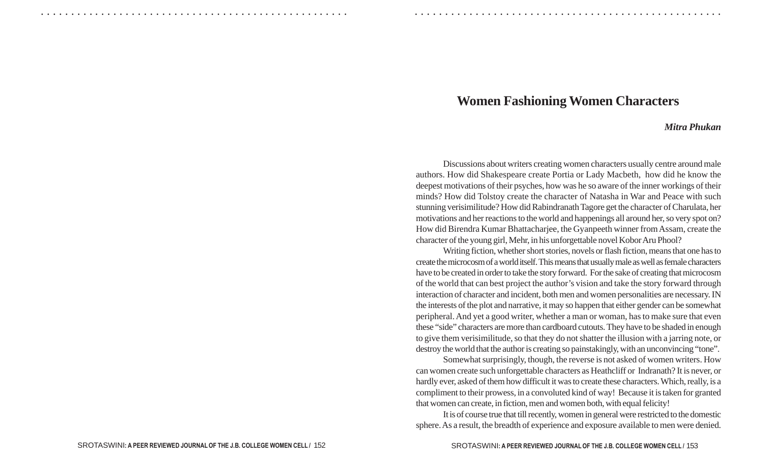## **Women Fashioning Women Characters**

○ ○ ○ ○ ○ ○ ○ ○ ○ ○ ○ ○ ○ ○ ○ ○ ○ ○ ○ ○ ○ ○ ○ ○ ○ ○ ○ ○ ○ ○ ○ ○ ○ ○ ○ ○ ○ ○ ○ ○ ○ ○ ○ ○ ○ ○ ○ ○ ○ ○ ○ ○ ○ ○ ○ ○ ○ ○ ○ ○ ○ ○ ○ ○ ○ ○ ○ ○ ○ ○ ○ ○ ○ ○ ○ ○ ○ ○ ○ ○ ○ ○ ○ ○ ○ ○ ○ ○ ○ ○ ○ ○ ○ ○ ○ ○ ○ ○ ○ ○ ○ ○

## *Mitra Phukan*

Discussions about writers creating women characters usually centre around male authors. How did Shakespeare create Portia or Lady Macbeth, how did he know the deepest motivations of their psyches, how was he so aware of the inner workings of their minds? How did Tolstoy create the character of Natasha in War and Peace with such stunning verisimilitude? How did Rabindranath Tagore get the character of Charulata, her motivations and her reactions to the world and happenings all around her, so very spot on? How did Birendra Kumar Bhattacharjee, the Gyanpeeth winner from Assam, create the character of the young girl, Mehr, in his unforgettable novel Kobor Aru Phool?

Writing fiction, whether short stories, novels or flash fiction, means that one has to create the microcosm of a world itself. This means that usually male as well as female characters have to be created in order to take the story forward. For the sake of creating that microcosm of the world that can best project the author's vision and take the story forward through interaction of character and incident, both men and women personalities are necessary. IN the interests of the plot and narrative, it may so happen that either gender can be somewhat peripheral. And yet a good writer, whether a man or woman, has to make sure that even these "side" characters are more than cardboard cutouts. They have to be shaded in enough to give them verisimilitude, so that they do not shatter the illusion with a jarring note, or destroy the world that the author is creating so painstakingly, with an unconvincing "tone".

Somewhat surprisingly, though, the reverse is not asked of women writers. How can women create such unforgettable characters as Heathcliff or Indranath? It is never, or hardly ever, asked of them how difficult it was to create these characters. Which, really, is a compliment to their prowess, in a convoluted kind of way! Because it is taken for granted that women can create, in fiction, men and women both, with equal felicity!

It is of course true that till recently, women in general were restricted to the domestic sphere. As a result, the breadth of experience and exposure available to men were denied.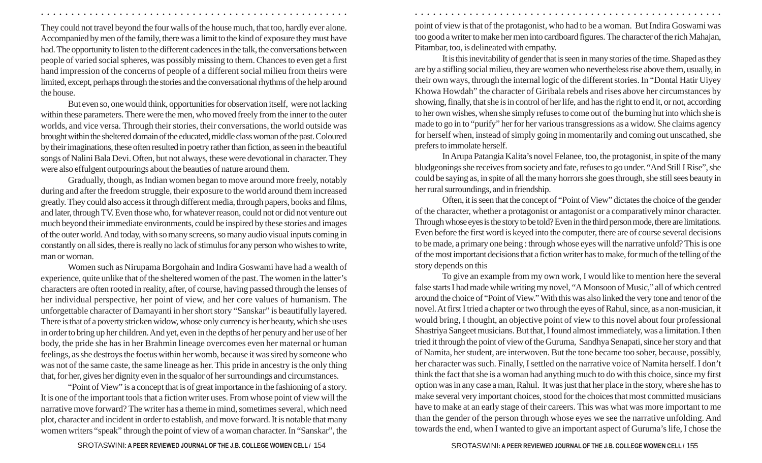They could not travel beyond the four walls of the house much, that too, hardly ever alone. Accompanied by men of the family, there was a limit to the kind of exposure they must have had. The opportunity to listen to the different cadences in the talk, the conversations between people of varied social spheres, was possibly missing to them. Chances to even get a first hand impression of the concerns of people of a different social milieu from theirs were limited, except, perhaps through the stories and the conversational rhythms of the help around the house.

But even so, one would think, opportunities for observation itself, were not lacking within these parameters. There were the men, who moved freely from the inner to the outer worlds, and vice versa. Through their stories, their conversations, the world outside was brought within the sheltered domain of the educated, middle class woman of the past. Coloured by their imaginations, these often resulted in poetry rather than fiction, as seen in the beautiful songs of Nalini Bala Devi. Often, but not always, these were devotional in character. They were also effulgent outpourings about the beauties of nature around them.

Gradually, though, as Indian women began to move around more freely, notably during and after the freedom struggle, their exposure to the world around them increased greatly. They could also access it through different media, through papers, books and films, and later, through TV. Even those who, for whatever reason, could not or did not venture out much beyond their immediate environments, could be inspired by these stories and images of the outer world. And today, with so many screens, so many audio visual inputs coming in constantly on all sides, there is really no lack of stimulus for any person who wishes to write, man or woman.

Women such as Nirupama Borgohain and Indira Goswami have had a wealth of experience, quite unlike that of the sheltered women of the past. The women in the latter's characters are often rooted in reality, after, of course, having passed through the lenses of her individual perspective, her point of view, and her core values of humanism. The unforgettable character of Damayanti in her short story "Sanskar" is beautifully layered. There is that of a poverty stricken widow, whose only currency is her beauty, which she uses in order to bring up her children. And yet, even in the depths of her penury and her use of her body, the pride she has in her Brahmin lineage overcomes even her maternal or human feelings, as she destroys the foetus within her womb, because it was sired by someone who was not of the same caste, the same lineage as her. This pride in ancestry is the only thing that, for her, gives her dignity even in the squalor of her surroundings and circumstances.

"Point of View" is a concept that is of great importance in the fashioning of a story. It is one of the important tools that a fiction writer uses. From whose point of view will the narrative move forward? The writer has a theme in mind, sometimes several, which need plot, character and incident in order to establish, and move forward. It is notable that many women writers "speak" through the point of view of a woman character. In "Sanskar", the

point of view is that of the protagonist, who had to be a woman. But Indira Goswami was too good a writer to make her men into cardboard figures. The character of the rich Mahajan, Pitambar, too, is delineated with empathy.

○ ○ ○ ○ ○ ○ ○ ○ ○ ○ ○ ○ ○ ○ ○ ○ ○ ○ ○ ○ ○ ○ ○ ○ ○ ○ ○ ○ ○ ○ ○ ○ ○ ○ ○ ○ ○ ○ ○ ○ ○ ○ ○ ○ ○ ○ ○ ○ ○ ○ ○ ○ ○ ○ ○ ○ ○ ○ ○ ○ ○ ○ ○ ○ ○ ○ ○ ○ ○ ○ ○ ○ ○ ○ ○ ○ ○ ○ ○ ○ ○ ○ ○ ○ ○ ○ ○ ○ ○ ○ ○ ○ ○ ○ ○ ○ ○ ○ ○ ○ ○ ○

It is this inevitability of gender that is seen in many stories of the time. Shaped as they are by a stifling social milieu, they are women who nevertheless rise above them, usually, in their own ways, through the internal logic of the different stories. In "Dontal Hatir Uiyey Khowa Howdah" the character of Giribala rebels and rises above her circumstances by showing, finally, that she is in control of her life, and has the right to end it, or not, according to her own wishes, when she simply refuses to come out of the burning hut into which she is made to go in to "purify" her for her various transgressions as a widow. She claims agency for herself when, instead of simply going in momentarily and coming out unscathed, she prefers to immolate herself.

In Arupa Patangia Kalita's novel Felanee, too, the protagonist, in spite of the many bludgeonings she receives from society and fate, refuses to go under. "And Still I Rise", she could be saying as, in spite of all the many horrors she goes through, she still sees beauty in her rural surroundings, and in friendship.

Often, it is seen that the concept of "Point of View" dictates the choice of the gender of the character, whether a protagonist or antagonist or a comparatively minor character. Through whose eyes is the story to be told? Even in the third person mode, there are limitations. Even before the first word is keyed into the computer, there are of course several decisions to be made, a primary one being : through whose eyes will the narrative unfold? This is one of the most important decisions that a fiction writer has to make, for much of the telling of the story depends on this

To give an example from my own work, I would like to mention here the several false starts I had made while writing my novel, "A Monsoon of Music," all of which centred around the choice of "Point of View." With this was also linked the very tone and tenor of the novel. At first I tried a chapter or two through the eyes of Rahul, since, as a non-musician, it would bring, I thought, an objective point of view to this novel about four professional Shastriya Sangeet musicians. But that, I found almost immediately, was a limitation. I then tried it through the point of view of the Guruma, Sandhya Senapati, since her story and that of Namita, her student, are interwoven. But the tone became too sober, because, possibly, her character was such. Finally, I settled on the narrative voice of Namita herself. I don't think the fact that she is a woman had anything much to do with this choice, since my first option was in any case a man, Rahul. It was just that her place in the story, where she has to make several very important choices, stood for the choices that most committed musicians have to make at an early stage of their careers. This was what was more important to me than the gender of the person through whose eyes we see the narrative unfolding. And towards the end, when I wanted to give an important aspect of Guruma's life, I chose the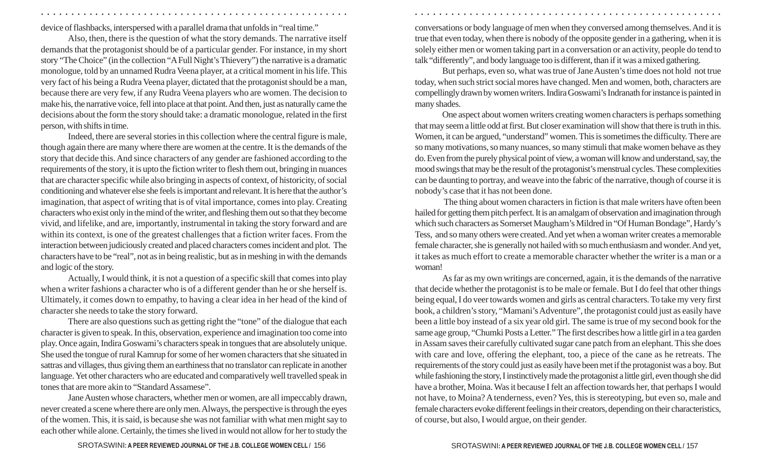device of flashbacks, interspersed with a parallel drama that unfolds in "real time."

Also, then, there is the question of what the story demands. The narrative itself demands that the protagonist should be of a particular gender. For instance, in my short story "The Choice" (in the collection "A Full Night's Thievery") the narrative is a dramatic monologue, told by an unnamed Rudra Veena player, at a critical moment in his life. This very fact of his being a Rudra Veena player, dictated that the protagonist should be a man, because there are very few, if any Rudra Veena players who are women. The decision to make his, the narrative voice, fell into place at that point. And then, just as naturally came the decisions about the form the story should take: a dramatic monologue, related in the first person, with shifts in time.

Indeed, there are several stories in this collection where the central figure is male, though again there are many where there are women at the centre. It is the demands of the story that decide this. And since characters of any gender are fashioned according to the requirements of the story, it is upto the fiction writer to flesh them out, bringing in nuances that are character specific while also bringing in aspects of context, of historicity, of social conditioning and whatever else she feels is important and relevant. It is here that the author's imagination, that aspect of writing that is of vital importance, comes into play. Creating characters who exist only in the mind of the writer, and fleshing them out so that they become vivid, and lifelike, and are, importantly, instrumental in taking the story forward and are within its context, is one of the greatest challenges that a fiction writer faces. From the interaction between judiciously created and placed characters comes incident and plot. The characters have to be "real", not as in being realistic, but as in meshing in with the demands and logic of the story.

Actually, I would think, it is not a question of a specific skill that comes into play when a writer fashions a character who is of a different gender than he or she herself is. Ultimately, it comes down to empathy, to having a clear idea in her head of the kind of character she needs to take the story forward.

There are also questions such as getting right the "tone" of the dialogue that each character is given to speak. In this, observation, experience and imagination too come into play. Once again, Indira Goswami's characters speak in tongues that are absolutely unique. She used the tongue of rural Kamrup for some of her women characters that she situated in sattras and villages, thus giving them an earthiness that no translator can replicate in another language. Yet other characters who are educated and comparatively well travelled speak in tones that are more akin to "Standard Assamese".

Jane Austen whose characters, whether men or women, are all impeccably drawn, never created a scene where there are only men. Always, the perspective is through the eyes of the women. This, it is said, is because she was not familiar with what men might say to each other while alone. Certainly, the times she lived in would not allow for her to study the

conversations or body language of men when they conversed among themselves. And it is true that even today, when there is nobody of the opposite gender in a gathering, when it is solely either men or women taking part in a conversation or an activity, people do tend to talk "differently", and body language too is different, than if it was a mixed gathering.

○ ○ ○ ○ ○ ○ ○ ○ ○ ○ ○ ○ ○ ○ ○ ○ ○ ○ ○ ○ ○ ○ ○ ○ ○ ○ ○ ○ ○ ○ ○ ○ ○ ○ ○ ○ ○ ○ ○ ○ ○ ○ ○ ○ ○ ○ ○ ○ ○ ○ ○ ○ ○ ○ ○ ○ ○ ○ ○ ○ ○ ○ ○ ○ ○ ○ ○ ○ ○ ○ ○ ○ ○ ○ ○ ○ ○ ○ ○ ○ ○ ○ ○ ○ ○ ○ ○ ○ ○ ○ ○ ○ ○ ○ ○ ○ ○ ○ ○ ○ ○ ○

But perhaps, even so, what was true of Jane Austen's time does not hold not true today, when such strict social mores have changed. Men and women, both, characters are compellingly drawn by women writers. Indira Goswami's Indranath for instance is painted in many shades.

One aspect about women writers creating women characters is perhaps something that may seem a little odd at first. But closer examination will show that there is truth in this. Women, it can be argued, "understand" women. This is sometimes the difficulty. There are so many motivations, so many nuances, so many stimuli that make women behave as they do. Even from the purely physical point of view, a woman will know and understand, say, the mood swings that may be the result of the protagonist's menstrual cycles. These complexities can be daunting to portray, and weave into the fabric of the narrative, though of course it is nobody's case that it has not been done.

 The thing about women characters in fiction is that male writers have often been hailed for getting them pitch perfect. It is an amalgam of observation and imagination through which such characters as Somerset Maugham's Mildred in "Of Human Bondage", Hardy's Tess, and so many others were created. And yet when a woman writer creates a memorable female character, she is generally not hailed with so much enthusiasm and wonder. And yet, it takes as much effort to create a memorable character whether the writer is a man or a woman!

As far as my own writings are concerned, again, it is the demands of the narrative that decide whether the protagonist is to be male or female. But I do feel that other things being equal, I do veer towards women and girls as central characters. To take my very first book, a children's story, "Mamani's Adventure", the protagonist could just as easily have been a little boy instead of a six year old girl. The same is true of my second book for the same age group, "Chumki Posts a Letter." The first describes how a little girl in a tea garden in Assam saves their carefully cultivated sugar cane patch from an elephant. This she does with care and love, offering the elephant, too, a piece of the cane as he retreats. The requirements of the story could just as easily have been met if the protagonist was a boy. But while fashioning the story, I instinctively made the protagonist a little girl, even though she did have a brother, Moina. Was it because I felt an affection towards her, that perhaps I would not have, to Moina? A tenderness, even? Yes, this is stereotyping, but even so, male and female characters evoke different feelings in their creators, depending on their characteristics, of course, but also, I would argue, on their gender.